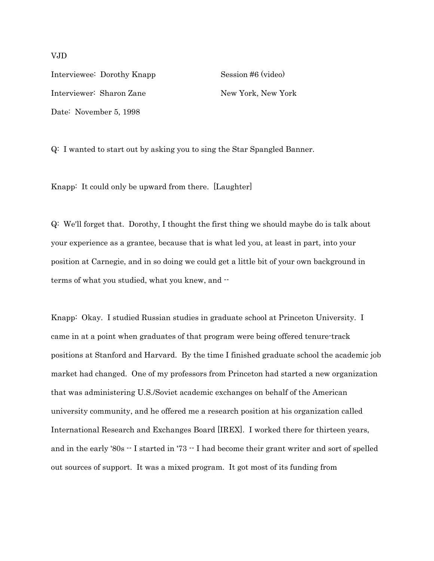Interviewee: Dorothy Knapp Session #6 (video) Interviewer: Sharon Zane New York, New York Date: November 5, 1998

Q: I wanted to start out by asking you to sing the Star Spangled Banner.

Knapp: It could only be upward from there. [Laughter]

Q: We'll forget that. Dorothy, I thought the first thing we should maybe do is talk about your experience as a grantee, because that is what led you, at least in part, into your position at Carnegie, and in so doing we could get a little bit of your own background in terms of what you studied, what you knew, and --

Knapp: Okay. I studied Russian studies in graduate school at Princeton University. I came in at a point when graduates of that program were being offered tenure-track positions at Stanford and Harvard. By the time I finished graduate school the academic job market had changed. One of my professors from Princeton had started a new organization that was administering U.S./Soviet academic exchanges on behalf of the American university community, and he offered me a research position at his organization called International Research and Exchanges Board [IREX]. I worked there for thirteen years, and in the early '80s  $-$  I started in '73  $-$  I had become their grant writer and sort of spelled out sources of support. It was a mixed program. It got most of its funding from

VJD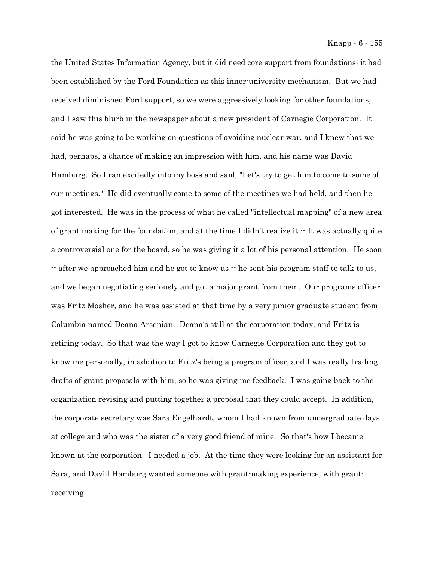the United States Information Agency, but it did need core support from foundations; it had been established by the Ford Foundation as this inner-university mechanism. But we had received diminished Ford support, so we were aggressively looking for other foundations, and I saw this blurb in the newspaper about a new president of Carnegie Corporation. It said he was going to be working on questions of avoiding nuclear war, and I knew that we had, perhaps, a chance of making an impression with him, and his name was David Hamburg. So I ran excitedly into my boss and said, "Let's try to get him to come to some of our meetings." He did eventually come to some of the meetings we had held, and then he got interested. He was in the process of what he called "intellectual mapping" of a new area of grant making for the foundation, and at the time I didn't realize it  $\cdot$ -It was actually quite a controversial one for the board, so he was giving it a lot of his personal attention. He soon -- after we approached him and he got to know us -- he sent his program staff to talk to us, and we began negotiating seriously and got a major grant from them. Our programs officer was Fritz Mosher, and he was assisted at that time by a very junior graduate student from Columbia named Deana Arsenian. Deana's still at the corporation today, and Fritz is retiring today. So that was the way I got to know Carnegie Corporation and they got to know me personally, in addition to Fritz's being a program officer, and I was really trading drafts of grant proposals with him, so he was giving me feedback. I was going back to the organization revising and putting together a proposal that they could accept. In addition, the corporate secretary was Sara Engelhardt, whom I had known from undergraduate days at college and who was the sister of a very good friend of mine. So that's how I became known at the corporation. I needed a job. At the time they were looking for an assistant for Sara, and David Hamburg wanted someone with grant-making experience, with grantreceiving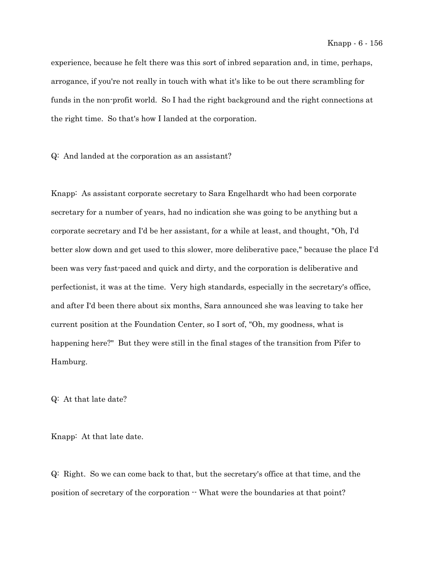experience, because he felt there was this sort of inbred separation and, in time, perhaps, arrogance, if you're not really in touch with what it's like to be out there scrambling for funds in the non-profit world. So I had the right background and the right connections at the right time. So that's how I landed at the corporation.

Q: And landed at the corporation as an assistant?

Knapp: As assistant corporate secretary to Sara Engelhardt who had been corporate secretary for a number of years, had no indication she was going to be anything but a corporate secretary and I'd be her assistant, for a while at least, and thought, "Oh, I'd better slow down and get used to this slower, more deliberative pace," because the place I'd been was very fast-paced and quick and dirty, and the corporation is deliberative and perfectionist, it was at the time. Very high standards, especially in the secretary's office, and after I'd been there about six months, Sara announced she was leaving to take her current position at the Foundation Center, so I sort of, "Oh, my goodness, what is happening here?" But they were still in the final stages of the transition from Pifer to Hamburg.

Q: At that late date?

Knapp: At that late date.

Q: Right. So we can come back to that, but the secretary's office at that time, and the position of secretary of the corporation  $-$  What were the boundaries at that point?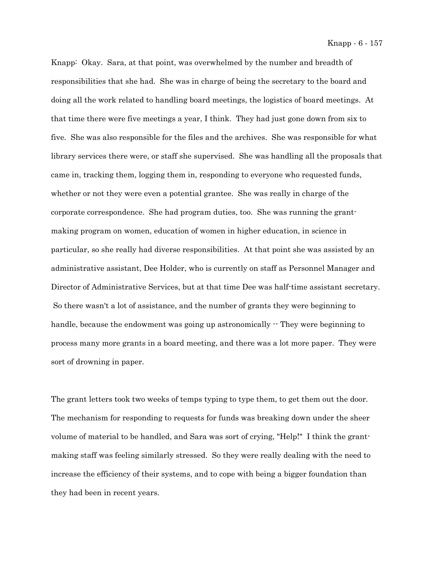Knapp: Okay. Sara, at that point, was overwhelmed by the number and breadth of responsibilities that she had. She was in charge of being the secretary to the board and doing all the work related to handling board meetings, the logistics of board meetings. At that time there were five meetings a year, I think. They had just gone down from six to five. She was also responsible for the files and the archives. She was responsible for what library services there were, or staff she supervised. She was handling all the proposals that came in, tracking them, logging them in, responding to everyone who requested funds, whether or not they were even a potential grantee. She was really in charge of the corporate correspondence. She had program duties, too. She was running the grantmaking program on women, education of women in higher education, in science in particular, so she really had diverse responsibilities. At that point she was assisted by an administrative assistant, Dee Holder, who is currently on staff as Personnel Manager and Director of Administrative Services, but at that time Dee was half-time assistant secretary. So there wasn't a lot of assistance, and the number of grants they were beginning to handle, because the endowment was going up astronomically  $\cdot$  They were beginning to process many more grants in a board meeting, and there was a lot more paper. They were sort of drowning in paper.

The grant letters took two weeks of temps typing to type them, to get them out the door. The mechanism for responding to requests for funds was breaking down under the sheer volume of material to be handled, and Sara was sort of crying, "Help!" I think the grantmaking staff was feeling similarly stressed. So they were really dealing with the need to increase the efficiency of their systems, and to cope with being a bigger foundation than they had been in recent years.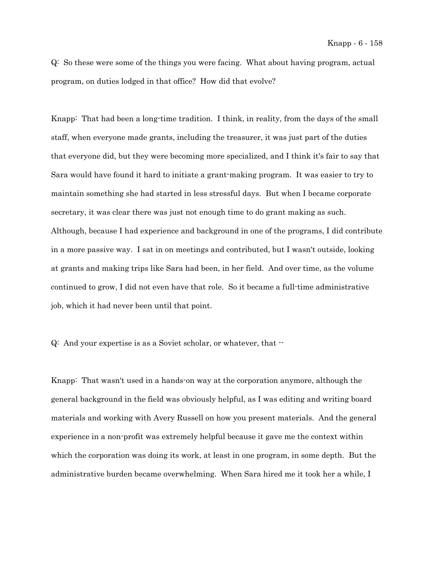Q: So these were some of the things you were facing. What about having program, actual program, on duties lodged in that office? How did that evolve?

Knapp: That had been a long-time tradition. I think, in reality, from the days of the small staff, when everyone made grants, including the treasurer, it was just part of the duties that everyone did, but they were becoming more specialized, and I think it's fair to say that Sara would have found it hard to initiate a grant-making program. It was easier to try to maintain something she had started in less stressful days. But when I became corporate secretary, it was clear there was just not enough time to do grant making as such. Although, because I had experience and background in one of the programs, I did contribute in a more passive way. I sat in on meetings and contributed, but I wasn't outside, looking at grants and making trips like Sara had been, in her field. And over time, as the volume continued to grow, I did not even have that role. So it became a full-time administrative job, which it had never been until that point.

Q: And your expertise is as a Soviet scholar, or whatever, that --

Knapp: That wasn't used in a hands-on way at the corporation anymore, although the general background in the field was obviously helpful, as I was editing and writing board materials and working with Avery Russell on how you present materials. And the general experience in a non-profit was extremely helpful because it gave me the context within which the corporation was doing its work, at least in one program, in some depth. But the administrative burden became overwhelming. When Sara hired me it took her a while, I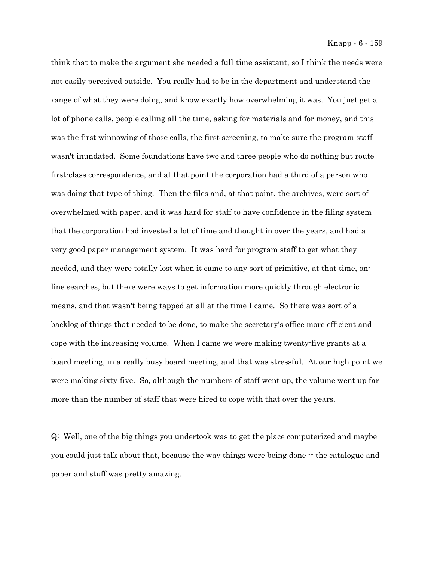think that to make the argument she needed a full-time assistant, so I think the needs were not easily perceived outside. You really had to be in the department and understand the range of what they were doing, and know exactly how overwhelming it was. You just get a lot of phone calls, people calling all the time, asking for materials and for money, and this was the first winnowing of those calls, the first screening, to make sure the program staff wasn't inundated. Some foundations have two and three people who do nothing but route first-class correspondence, and at that point the corporation had a third of a person who was doing that type of thing. Then the files and, at that point, the archives, were sort of overwhelmed with paper, and it was hard for staff to have confidence in the filing system that the corporation had invested a lot of time and thought in over the years, and had a very good paper management system. It was hard for program staff to get what they needed, and they were totally lost when it came to any sort of primitive, at that time, online searches, but there were ways to get information more quickly through electronic means, and that wasn't being tapped at all at the time I came. So there was sort of a backlog of things that needed to be done, to make the secretary's office more efficient and cope with the increasing volume. When I came we were making twenty-five grants at a board meeting, in a really busy board meeting, and that was stressful. At our high point we were making sixty-five. So, although the numbers of staff went up, the volume went up far more than the number of staff that were hired to cope with that over the years.

Q: Well, one of the big things you undertook was to get the place computerized and maybe you could just talk about that, because the way things were being done -- the catalogue and paper and stuff was pretty amazing.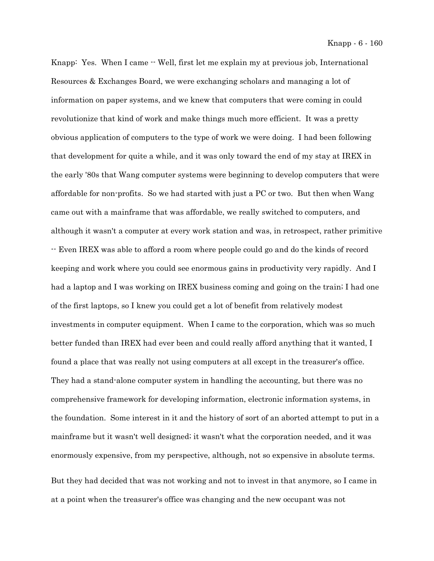Knapp: Yes. When I came  $\cdot$  Well, first let me explain my at previous job, International Resources & Exchanges Board, we were exchanging scholars and managing a lot of information on paper systems, and we knew that computers that were coming in could revolutionize that kind of work and make things much more efficient. It was a pretty obvious application of computers to the type of work we were doing. I had been following that development for quite a while, and it was only toward the end of my stay at IREX in the early '80s that Wang computer systems were beginning to develop computers that were affordable for non-profits. So we had started with just a PC or two. But then when Wang came out with a mainframe that was affordable, we really switched to computers, and although it wasn't a computer at every work station and was, in retrospect, rather primitive -- Even IREX was able to afford a room where people could go and do the kinds of record keeping and work where you could see enormous gains in productivity very rapidly. And I had a laptop and I was working on IREX business coming and going on the train; I had one of the first laptops, so I knew you could get a lot of benefit from relatively modest investments in computer equipment. When I came to the corporation, which was so much better funded than IREX had ever been and could really afford anything that it wanted, I found a place that was really not using computers at all except in the treasurer's office. They had a stand-alone computer system in handling the accounting, but there was no comprehensive framework for developing information, electronic information systems, in the foundation. Some interest in it and the history of sort of an aborted attempt to put in a mainframe but it wasn't well designed; it wasn't what the corporation needed, and it was enormously expensive, from my perspective, although, not so expensive in absolute terms.

But they had decided that was not working and not to invest in that anymore, so I came in at a point when the treasurer's office was changing and the new occupant was not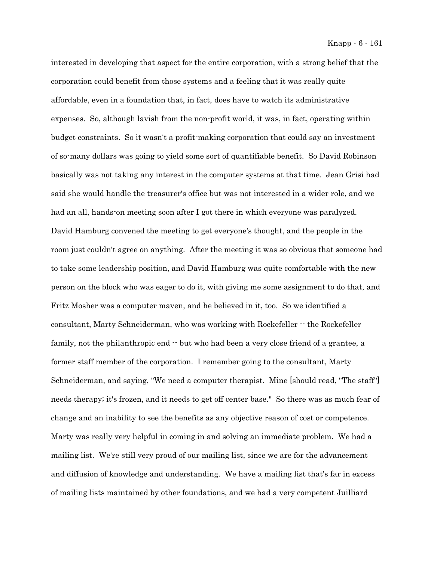interested in developing that aspect for the entire corporation, with a strong belief that the corporation could benefit from those systems and a feeling that it was really quite affordable, even in a foundation that, in fact, does have to watch its administrative expenses. So, although lavish from the non-profit world, it was, in fact, operating within budget constraints. So it wasn't a profit-making corporation that could say an investment of so-many dollars was going to yield some sort of quantifiable benefit. So David Robinson basically was not taking any interest in the computer systems at that time. Jean Grisi had said she would handle the treasurer's office but was not interested in a wider role, and we had an all, hands-on meeting soon after I got there in which everyone was paralyzed. David Hamburg convened the meeting to get everyone's thought, and the people in the room just couldn't agree on anything. After the meeting it was so obvious that someone had to take some leadership position, and David Hamburg was quite comfortable with the new person on the block who was eager to do it, with giving me some assignment to do that, and Fritz Mosher was a computer maven, and he believed in it, too. So we identified a consultant, Marty Schneiderman, who was working with Rockefeller -- the Rockefeller family, not the philanthropic end  $\cdot$  but who had been a very close friend of a grantee, a former staff member of the corporation. I remember going to the consultant, Marty Schneiderman, and saying, "We need a computer therapist. Mine [should read, "The staff"] needs therapy; it's frozen, and it needs to get off center base." So there was as much fear of change and an inability to see the benefits as any objective reason of cost or competence. Marty was really very helpful in coming in and solving an immediate problem. We had a mailing list. We're still very proud of our mailing list, since we are for the advancement and diffusion of knowledge and understanding. We have a mailing list that's far in excess of mailing lists maintained by other foundations, and we had a very competent Juilliard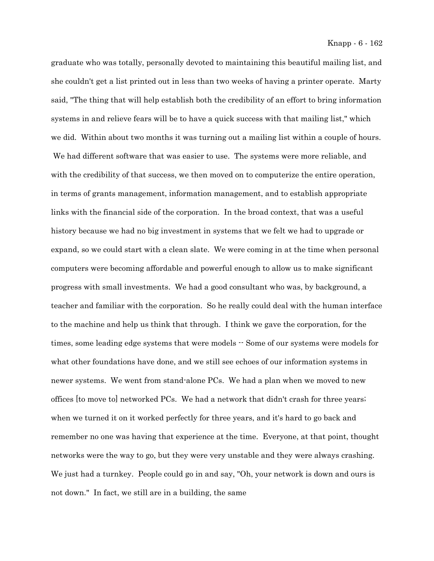graduate who was totally, personally devoted to maintaining this beautiful mailing list, and she couldn't get a list printed out in less than two weeks of having a printer operate. Marty said, "The thing that will help establish both the credibility of an effort to bring information systems in and relieve fears will be to have a quick success with that mailing list," which we did. Within about two months it was turning out a mailing list within a couple of hours. We had different software that was easier to use. The systems were more reliable, and with the credibility of that success, we then moved on to computerize the entire operation, in terms of grants management, information management, and to establish appropriate links with the financial side of the corporation. In the broad context, that was a useful history because we had no big investment in systems that we felt we had to upgrade or expand, so we could start with a clean slate. We were coming in at the time when personal computers were becoming affordable and powerful enough to allow us to make significant progress with small investments. We had a good consultant who was, by background, a teacher and familiar with the corporation. So he really could deal with the human interface to the machine and help us think that through. I think we gave the corporation, for the times, some leading edge systems that were models  $-$  Some of our systems were models for what other foundations have done, and we still see echoes of our information systems in newer systems. We went from stand-alone PCs. We had a plan when we moved to new offices [to move to] networked PCs. We had a network that didn't crash for three years; when we turned it on it worked perfectly for three years, and it's hard to go back and remember no one was having that experience at the time. Everyone, at that point, thought networks were the way to go, but they were very unstable and they were always crashing. We just had a turnkey. People could go in and say, "Oh, your network is down and ours is not down." In fact, we still are in a building, the same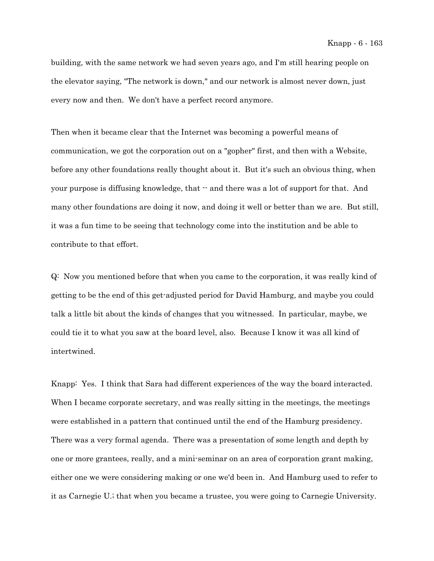building, with the same network we had seven years ago, and I'm still hearing people on the elevator saying, "The network is down," and our network is almost never down, just every now and then. We don't have a perfect record anymore.

Then when it became clear that the Internet was becoming a powerful means of communication, we got the corporation out on a "gopher" first, and then with a Website, before any other foundations really thought about it. But it's such an obvious thing, when your purpose is diffusing knowledge, that -- and there was a lot of support for that. And many other foundations are doing it now, and doing it well or better than we are. But still, it was a fun time to be seeing that technology come into the institution and be able to contribute to that effort.

Q: Now you mentioned before that when you came to the corporation, it was really kind of getting to be the end of this get-adjusted period for David Hamburg, and maybe you could talk a little bit about the kinds of changes that you witnessed. In particular, maybe, we could tie it to what you saw at the board level, also. Because I know it was all kind of intertwined.

Knapp: Yes. I think that Sara had different experiences of the way the board interacted. When I became corporate secretary, and was really sitting in the meetings, the meetings were established in a pattern that continued until the end of the Hamburg presidency. There was a very formal agenda. There was a presentation of some length and depth by one or more grantees, really, and a mini-seminar on an area of corporation grant making, either one we were considering making or one we'd been in. And Hamburg used to refer to it as Carnegie U.; that when you became a trustee, you were going to Carnegie University.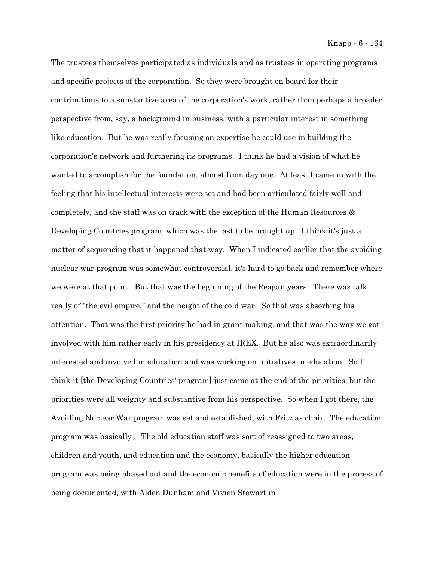The trustees themselves participated as individuals and as trustees in operating programs and specific projects of the corporation. So they were brought on board for their contributions to a substantive area of the corporation's work, rather than perhaps a broader perspective from, say, a background in business, with a particular interest in something like education. But he was really focusing on expertise he could use in building the corporation's network and furthering its programs. I think he had a vision of what he wanted to accomplish for the foundation, almost from day one. At least I came in with the feeling that his intellectual interests were set and had been articulated fairly well and completely, and the staff was on track with the exception of the Human Resources & Developing Countries program, which was the last to be brought up. I think it's just a matter of sequencing that it happened that way. When I indicated earlier that the avoiding nuclear war program was somewhat controversial, it's hard to go back and remember where we were at that point. But that was the beginning of the Reagan years. There was talk really of "the evil empire," and the height of the cold war. So that was absorbing his attention. That was the first priority he had in grant making, and that was the way we got involved with him rather early in his presidency at IREX. But he also was extraordinarily interested and involved in education and was working on initiatives in education. So I think it [the Developing Countries' program] just came at the end of the priorities, but the priorities were all weighty and substantive from his perspective. So when I got there, the Avoiding Nuclear War program was set and established, with Fritz as chair. The education program was basically -- The old education staff was sort of reassigned to two areas, children and youth, and education and the economy, basically the higher education program was being phased out and the economic benefits of education were in the process of being documented, with Alden Dunham and Vivien Stewart in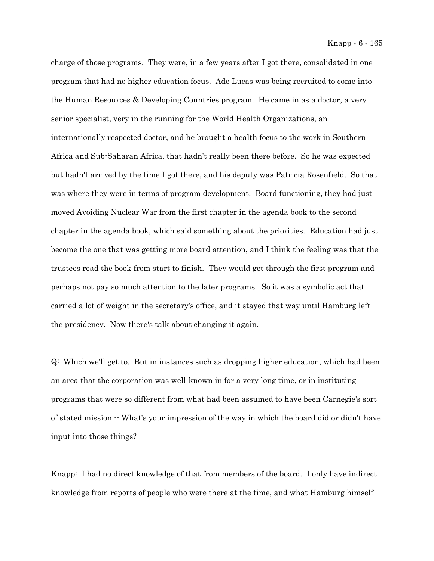charge of those programs. They were, in a few years after I got there, consolidated in one program that had no higher education focus. Ade Lucas was being recruited to come into the Human Resources & Developing Countries program. He came in as a doctor, a very senior specialist, very in the running for the World Health Organizations, an internationally respected doctor, and he brought a health focus to the work in Southern Africa and Sub-Saharan Africa, that hadn't really been there before. So he was expected but hadn't arrived by the time I got there, and his deputy was Patricia Rosenfield. So that was where they were in terms of program development. Board functioning, they had just moved Avoiding Nuclear War from the first chapter in the agenda book to the second chapter in the agenda book, which said something about the priorities. Education had just become the one that was getting more board attention, and I think the feeling was that the trustees read the book from start to finish. They would get through the first program and perhaps not pay so much attention to the later programs. So it was a symbolic act that carried a lot of weight in the secretary's office, and it stayed that way until Hamburg left the presidency. Now there's talk about changing it again.

Q: Which we'll get to. But in instances such as dropping higher education, which had been an area that the corporation was well-known in for a very long time, or in instituting programs that were so different from what had been assumed to have been Carnegie's sort of stated mission -- What's your impression of the way in which the board did or didn't have input into those things?

Knapp: I had no direct knowledge of that from members of the board. I only have indirect knowledge from reports of people who were there at the time, and what Hamburg himself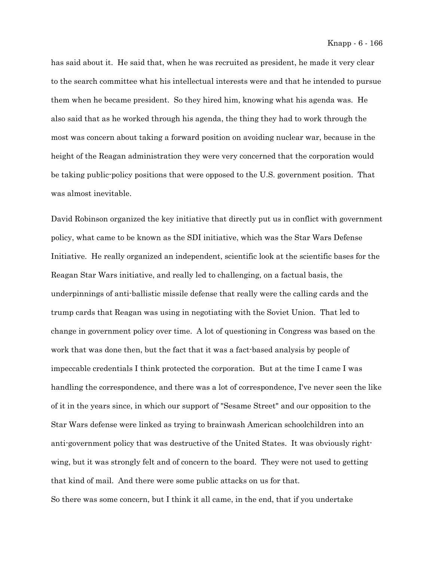has said about it. He said that, when he was recruited as president, he made it very clear to the search committee what his intellectual interests were and that he intended to pursue them when he became president. So they hired him, knowing what his agenda was. He also said that as he worked through his agenda, the thing they had to work through the most was concern about taking a forward position on avoiding nuclear war, because in the height of the Reagan administration they were very concerned that the corporation would be taking public-policy positions that were opposed to the U.S. government position. That was almost inevitable.

David Robinson organized the key initiative that directly put us in conflict with government policy, what came to be known as the SDI initiative, which was the Star Wars Defense Initiative. He really organized an independent, scientific look at the scientific bases for the Reagan Star Wars initiative, and really led to challenging, on a factual basis, the underpinnings of anti-ballistic missile defense that really were the calling cards and the trump cards that Reagan was using in negotiating with the Soviet Union. That led to change in government policy over time. A lot of questioning in Congress was based on the work that was done then, but the fact that it was a fact-based analysis by people of impeccable credentials I think protected the corporation. But at the time I came I was handling the correspondence, and there was a lot of correspondence, I've never seen the like of it in the years since, in which our support of "Sesame Street" and our opposition to the Star Wars defense were linked as trying to brainwash American schoolchildren into an anti-government policy that was destructive of the United States. It was obviously rightwing, but it was strongly felt and of concern to the board. They were not used to getting that kind of mail. And there were some public attacks on us for that. So there was some concern, but I think it all came, in the end, that if you undertake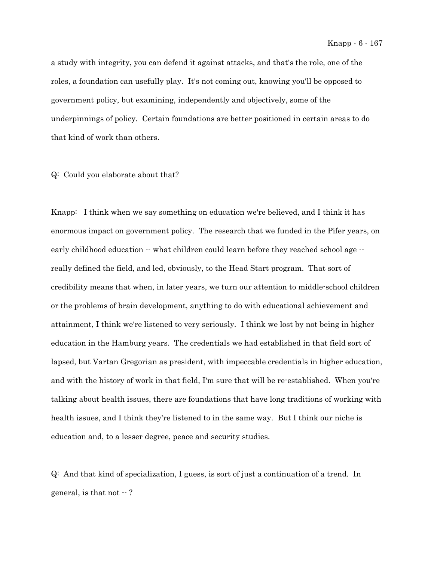a study with integrity, you can defend it against attacks, and that's the role, one of the roles, a foundation can usefully play. It's not coming out, knowing you'll be opposed to government policy, but examining, independently and objectively, some of the underpinnings of policy. Certain foundations are better positioned in certain areas to do that kind of work than others.

Q: Could you elaborate about that?

Knapp: I think when we say something on education we're believed, and I think it has enormous impact on government policy. The research that we funded in the Pifer years, on early childhood education  $\cdot\cdot$  what children could learn before they reached school age  $\cdot\cdot$ really defined the field, and led, obviously, to the Head Start program. That sort of credibility means that when, in later years, we turn our attention to middle-school children or the problems of brain development, anything to do with educational achievement and attainment, I think we're listened to very seriously. I think we lost by not being in higher education in the Hamburg years. The credentials we had established in that field sort of lapsed, but Vartan Gregorian as president, with impeccable credentials in higher education, and with the history of work in that field, I'm sure that will be re-established. When you're talking about health issues, there are foundations that have long traditions of working with health issues, and I think they're listened to in the same way. But I think our niche is education and, to a lesser degree, peace and security studies.

Q: And that kind of specialization, I guess, is sort of just a continuation of a trend. In general, is that not  $-$  ?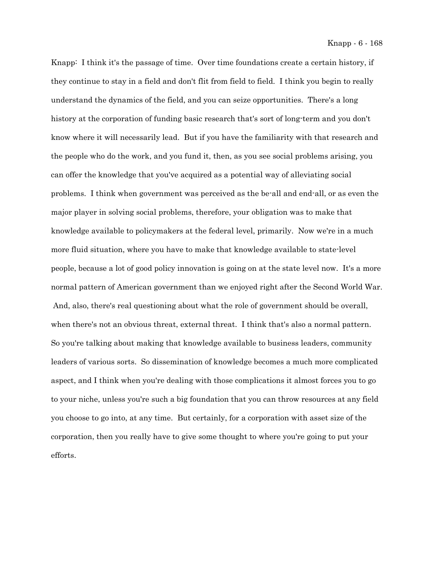Knapp: I think it's the passage of time. Over time foundations create a certain history, if they continue to stay in a field and don't flit from field to field. I think you begin to really understand the dynamics of the field, and you can seize opportunities. There's a long history at the corporation of funding basic research that's sort of long-term and you don't know where it will necessarily lead. But if you have the familiarity with that research and the people who do the work, and you fund it, then, as you see social problems arising, you can offer the knowledge that you've acquired as a potential way of alleviating social problems. I think when government was perceived as the be-all and end-all, or as even the major player in solving social problems, therefore, your obligation was to make that knowledge available to policymakers at the federal level, primarily. Now we're in a much more fluid situation, where you have to make that knowledge available to state-level people, because a lot of good policy innovation is going on at the state level now. It's a more normal pattern of American government than we enjoyed right after the Second World War. And, also, there's real questioning about what the role of government should be overall, when there's not an obvious threat, external threat. I think that's also a normal pattern. So you're talking about making that knowledge available to business leaders, community leaders of various sorts. So dissemination of knowledge becomes a much more complicated aspect, and I think when you're dealing with those complications it almost forces you to go to your niche, unless you're such a big foundation that you can throw resources at any field you choose to go into, at any time. But certainly, for a corporation with asset size of the corporation, then you really have to give some thought to where you're going to put your efforts.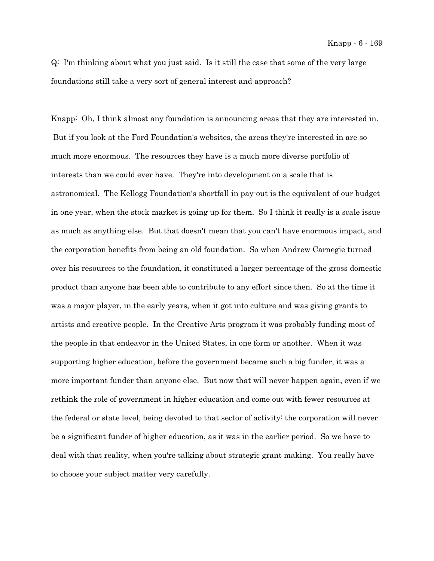Q: I'm thinking about what you just said. Is it still the case that some of the very large foundations still take a very sort of general interest and approach?

Knapp: Oh, I think almost any foundation is announcing areas that they are interested in. But if you look at the Ford Foundation's websites, the areas they're interested in are so much more enormous. The resources they have is a much more diverse portfolio of interests than we could ever have. They're into development on a scale that is astronomical. The Kellogg Foundation's shortfall in pay-out is the equivalent of our budget in one year, when the stock market is going up for them. So I think it really is a scale issue as much as anything else. But that doesn't mean that you can't have enormous impact, and the corporation benefits from being an old foundation. So when Andrew Carnegie turned over his resources to the foundation, it constituted a larger percentage of the gross domestic product than anyone has been able to contribute to any effort since then. So at the time it was a major player, in the early years, when it got into culture and was giving grants to artists and creative people. In the Creative Arts program it was probably funding most of the people in that endeavor in the United States, in one form or another. When it was supporting higher education, before the government became such a big funder, it was a more important funder than anyone else. But now that will never happen again, even if we rethink the role of government in higher education and come out with fewer resources at the federal or state level, being devoted to that sector of activity; the corporation will never be a significant funder of higher education, as it was in the earlier period. So we have to deal with that reality, when you're talking about strategic grant making. You really have to choose your subject matter very carefully.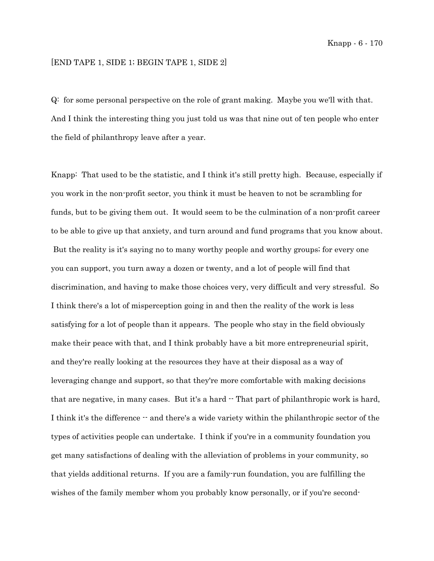## [END TAPE 1, SIDE 1; BEGIN TAPE 1, SIDE 2]

Q: for some personal perspective on the role of grant making. Maybe you we'll with that. And I think the interesting thing you just told us was that nine out of ten people who enter the field of philanthropy leave after a year.

Knapp: That used to be the statistic, and I think it's still pretty high. Because, especially if you work in the non-profit sector, you think it must be heaven to not be scrambling for funds, but to be giving them out. It would seem to be the culmination of a non-profit career to be able to give up that anxiety, and turn around and fund programs that you know about. But the reality is it's saying no to many worthy people and worthy groups; for every one you can support, you turn away a dozen or twenty, and a lot of people will find that discrimination, and having to make those choices very, very difficult and very stressful. So I think there's a lot of misperception going in and then the reality of the work is less satisfying for a lot of people than it appears. The people who stay in the field obviously make their peace with that, and I think probably have a bit more entrepreneurial spirit, and they're really looking at the resources they have at their disposal as a way of leveraging change and support, so that they're more comfortable with making decisions that are negative, in many cases. But it's a hard  $\cdot$  That part of philanthropic work is hard, I think it's the difference  $-$  and there's a wide variety within the philanthropic sector of the types of activities people can undertake. I think if you're in a community foundation you get many satisfactions of dealing with the alleviation of problems in your community, so that yields additional returns. If you are a family-run foundation, you are fulfilling the wishes of the family member whom you probably know personally, or if you're second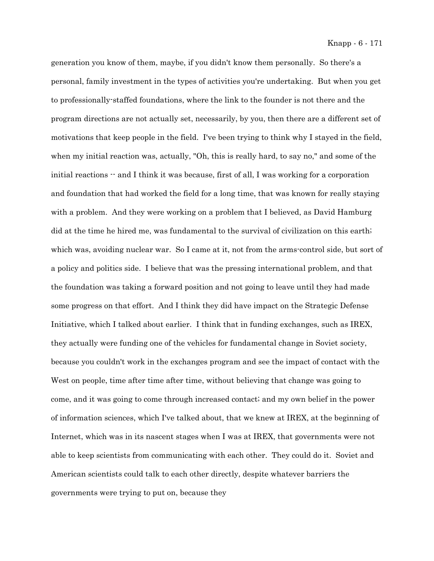generation you know of them, maybe, if you didn't know them personally. So there's a personal, family investment in the types of activities you're undertaking. But when you get to professionally-staffed foundations, where the link to the founder is not there and the program directions are not actually set, necessarily, by you, then there are a different set of motivations that keep people in the field. I've been trying to think why I stayed in the field, when my initial reaction was, actually, "Oh, this is really hard, to say no," and some of the initial reactions  $-$  and I think it was because, first of all, I was working for a corporation and foundation that had worked the field for a long time, that was known for really staying with a problem. And they were working on a problem that I believed, as David Hamburg did at the time he hired me, was fundamental to the survival of civilization on this earth; which was, avoiding nuclear war. So I came at it, not from the arms-control side, but sort of a policy and politics side. I believe that was the pressing international problem, and that the foundation was taking a forward position and not going to leave until they had made some progress on that effort. And I think they did have impact on the Strategic Defense Initiative, which I talked about earlier. I think that in funding exchanges, such as IREX, they actually were funding one of the vehicles for fundamental change in Soviet society, because you couldn't work in the exchanges program and see the impact of contact with the West on people, time after time after time, without believing that change was going to come, and it was going to come through increased contact; and my own belief in the power of information sciences, which I've talked about, that we knew at IREX, at the beginning of Internet, which was in its nascent stages when I was at IREX, that governments were not able to keep scientists from communicating with each other. They could do it. Soviet and American scientists could talk to each other directly, despite whatever barriers the governments were trying to put on, because they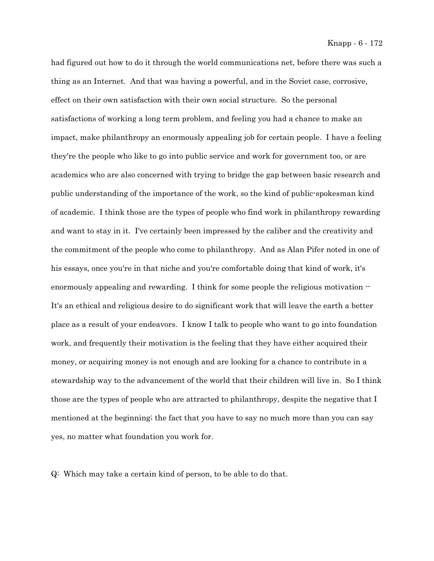had figured out how to do it through the world communications net, before there was such a thing as an Internet. And that was having a powerful, and in the Soviet case, corrosive, effect on their own satisfaction with their own social structure. So the personal satisfactions of working a long term problem, and feeling you had a chance to make an impact, make philanthropy an enormously appealing job for certain people. I have a feeling they're the people who like to go into public service and work for government too, or are academics who are also concerned with trying to bridge the gap between basic research and public understanding of the importance of the work, so the kind of public-spokesman kind of academic. I think those are the types of people who find work in philanthropy rewarding and want to stay in it. I've certainly been impressed by the caliber and the creativity and the commitment of the people who come to philanthropy. And as Alan Pifer noted in one of his essays, once you're in that niche and you're comfortable doing that kind of work, it's enormously appealing and rewarding. I think for some people the religious motivation  $\cdot$ It's an ethical and religious desire to do significant work that will leave the earth a better place as a result of your endeavors. I know I talk to people who want to go into foundation work, and frequently their motivation is the feeling that they have either acquired their money, or acquiring money is not enough and are looking for a chance to contribute in a stewardship way to the advancement of the world that their children will live in. So I think those are the types of people who are attracted to philanthropy, despite the negative that I mentioned at the beginning; the fact that you have to say no much more than you can say yes, no matter what foundation you work for.

Q: Which may take a certain kind of person, to be able to do that.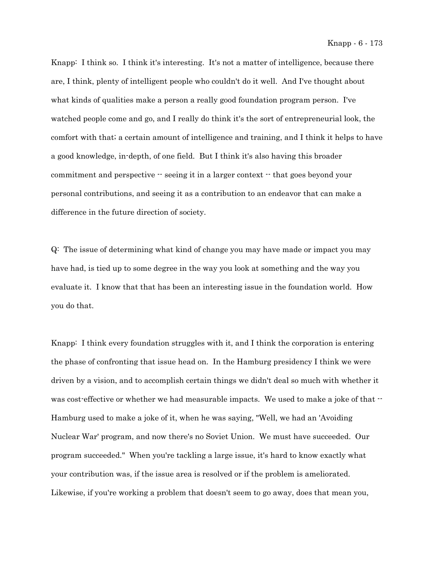Knapp: I think so. I think it's interesting. It's not a matter of intelligence, because there are, I think, plenty of intelligent people who couldn't do it well. And I've thought about what kinds of qualities make a person a really good foundation program person. I've watched people come and go, and I really do think it's the sort of entrepreneurial look, the comfort with that; a certain amount of intelligence and training, and I think it helps to have a good knowledge, in-depth, of one field. But I think it's also having this broader commitment and perspective  $-$  seeing it in a larger context  $-$  that goes beyond your personal contributions, and seeing it as a contribution to an endeavor that can make a difference in the future direction of society.

Q: The issue of determining what kind of change you may have made or impact you may have had, is tied up to some degree in the way you look at something and the way you evaluate it. I know that that has been an interesting issue in the foundation world. How you do that.

Knapp: I think every foundation struggles with it, and I think the corporation is entering the phase of confronting that issue head on. In the Hamburg presidency I think we were driven by a vision, and to accomplish certain things we didn't deal so much with whether it was cost-effective or whether we had measurable impacts. We used to make a joke of that  $-$ Hamburg used to make a joke of it, when he was saying, "Well, we had an 'Avoiding Nuclear War' program, and now there's no Soviet Union. We must have succeeded. Our program succeeded." When you're tackling a large issue, it's hard to know exactly what your contribution was, if the issue area is resolved or if the problem is ameliorated. Likewise, if you're working a problem that doesn't seem to go away, does that mean you,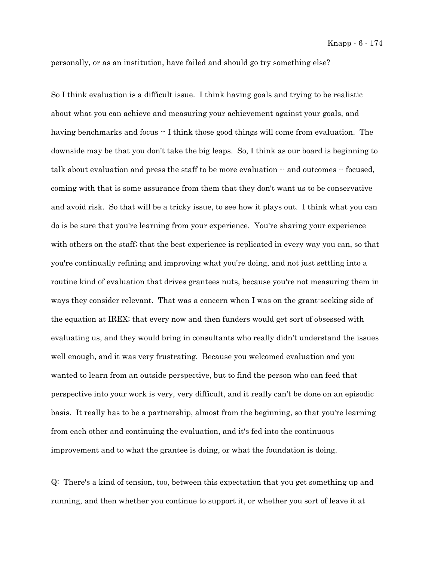personally, or as an institution, have failed and should go try something else?

So I think evaluation is a difficult issue. I think having goals and trying to be realistic about what you can achieve and measuring your achievement against your goals, and having benchmarks and focus  $-$  I think those good things will come from evaluation. The downside may be that you don't take the big leaps. So, I think as our board is beginning to talk about evaluation and press the staff to be more evaluation -- and outcomes -- focused, coming with that is some assurance from them that they don't want us to be conservative and avoid risk. So that will be a tricky issue, to see how it plays out. I think what you can do is be sure that you're learning from your experience. You're sharing your experience with others on the staff; that the best experience is replicated in every way you can, so that you're continually refining and improving what you're doing, and not just settling into a routine kind of evaluation that drives grantees nuts, because you're not measuring them in ways they consider relevant. That was a concern when I was on the grant-seeking side of the equation at IREX; that every now and then funders would get sort of obsessed with evaluating us, and they would bring in consultants who really didn't understand the issues well enough, and it was very frustrating. Because you welcomed evaluation and you wanted to learn from an outside perspective, but to find the person who can feed that perspective into your work is very, very difficult, and it really can't be done on an episodic basis. It really has to be a partnership, almost from the beginning, so that you're learning from each other and continuing the evaluation, and it's fed into the continuous improvement and to what the grantee is doing, or what the foundation is doing.

Q: There's a kind of tension, too, between this expectation that you get something up and running, and then whether you continue to support it, or whether you sort of leave it at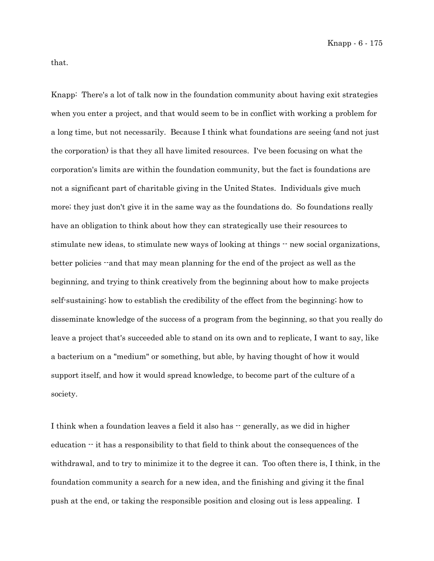that.

Knapp: There's a lot of talk now in the foundation community about having exit strategies when you enter a project, and that would seem to be in conflict with working a problem for a long time, but not necessarily. Because I think what foundations are seeing (and not just the corporation) is that they all have limited resources. I've been focusing on what the corporation's limits are within the foundation community, but the fact is foundations are not a significant part of charitable giving in the United States. Individuals give much more; they just don't give it in the same way as the foundations do. So foundations really have an obligation to think about how they can strategically use their resources to stimulate new ideas, to stimulate new ways of looking at things  $\cdot$  new social organizations, better policies --and that may mean planning for the end of the project as well as the beginning, and trying to think creatively from the beginning about how to make projects self-sustaining; how to establish the credibility of the effect from the beginning; how to disseminate knowledge of the success of a program from the beginning, so that you really do leave a project that's succeeded able to stand on its own and to replicate, I want to say, like a bacterium on a "medium" or something, but able, by having thought of how it would support itself, and how it would spread knowledge, to become part of the culture of a society.

I think when a foundation leaves a field it also has  $\cdot$  generally, as we did in higher education  $\cdot$  it has a responsibility to that field to think about the consequences of the withdrawal, and to try to minimize it to the degree it can. Too often there is, I think, in the foundation community a search for a new idea, and the finishing and giving it the final push at the end, or taking the responsible position and closing out is less appealing. I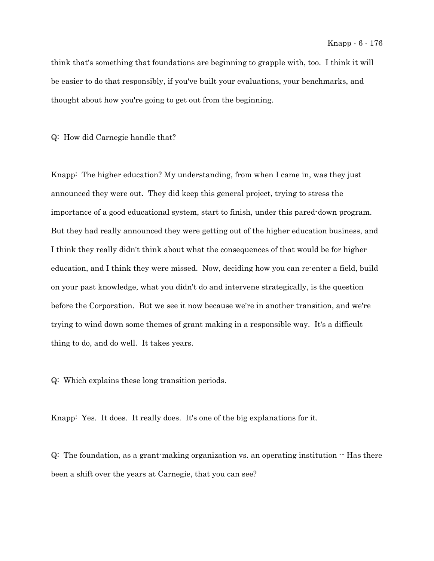think that's something that foundations are beginning to grapple with, too. I think it will be easier to do that responsibly, if you've built your evaluations, your benchmarks, and thought about how you're going to get out from the beginning.

Q: How did Carnegie handle that?

Knapp: The higher education? My understanding, from when I came in, was they just announced they were out. They did keep this general project, trying to stress the importance of a good educational system, start to finish, under this pared-down program. But they had really announced they were getting out of the higher education business, and I think they really didn't think about what the consequences of that would be for higher education, and I think they were missed. Now, deciding how you can re-enter a field, build on your past knowledge, what you didn't do and intervene strategically, is the question before the Corporation. But we see it now because we're in another transition, and we're trying to wind down some themes of grant making in a responsible way. It's a difficult thing to do, and do well. It takes years.

Q: Which explains these long transition periods.

Knapp: Yes. It does. It really does. It's one of the big explanations for it.

 $Q:$  The foundation, as a grant-making organization vs. an operating institution  $\cdot$  Has there been a shift over the years at Carnegie, that you can see?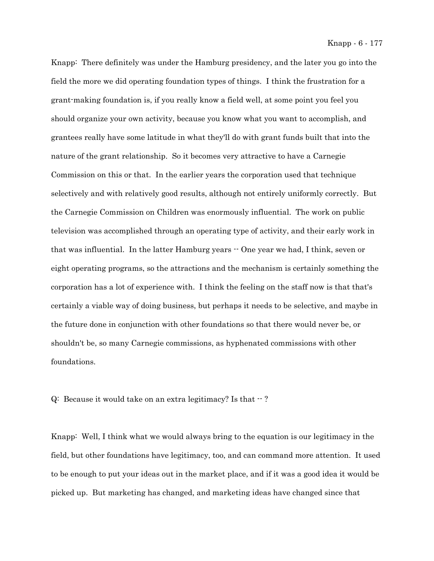Knapp: There definitely was under the Hamburg presidency, and the later you go into the field the more we did operating foundation types of things. I think the frustration for a grant-making foundation is, if you really know a field well, at some point you feel you should organize your own activity, because you know what you want to accomplish, and grantees really have some latitude in what they'll do with grant funds built that into the nature of the grant relationship. So it becomes very attractive to have a Carnegie Commission on this or that. In the earlier years the corporation used that technique selectively and with relatively good results, although not entirely uniformly correctly. But the Carnegie Commission on Children was enormously influential. The work on public television was accomplished through an operating type of activity, and their early work in that was influential. In the latter Hamburg years  $\cdot$  One year we had, I think, seven or eight operating programs, so the attractions and the mechanism is certainly something the corporation has a lot of experience with. I think the feeling on the staff now is that that's certainly a viable way of doing business, but perhaps it needs to be selective, and maybe in the future done in conjunction with other foundations so that there would never be, or shouldn't be, so many Carnegie commissions, as hyphenated commissions with other foundations.

 $Q:$  Because it would take on an extra legitimacy? Is that  $-$  ?

Knapp: Well, I think what we would always bring to the equation is our legitimacy in the field, but other foundations have legitimacy, too, and can command more attention. It used to be enough to put your ideas out in the market place, and if it was a good idea it would be picked up. But marketing has changed, and marketing ideas have changed since that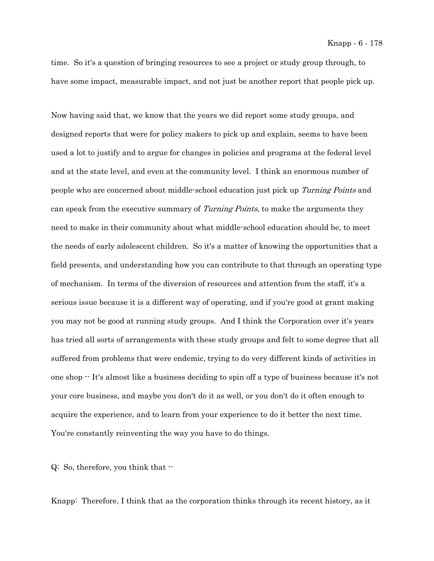time. So it's a question of bringing resources to see a project or study group through, to have some impact, measurable impact, and not just be another report that people pick up.

Now having said that, we know that the years we did report some study groups, and designed reports that were for policy makers to pick up and explain, seems to have been used a lot to justify and to argue for changes in policies and programs at the federal level and at the state level, and even at the community level. I think an enormous number of people who are concerned about middle-school education just pick up Turning Points and can speak from the executive summary of *Turning Points*, to make the arguments they need to make in their community about what middle-school education should be, to meet the needs of early adolescent children. So it's a matter of knowing the opportunities that a field presents, and understanding how you can contribute to that through an operating type of mechanism. In terms of the diversion of resources and attention from the staff, it's a serious issue because it is a different way of operating, and if you're good at grant making you may not be good at running study groups. And I think the Corporation over it's years has tried all sorts of arrangements with these study groups and felt to some degree that all suffered from problems that were endemic, trying to do very different kinds of activities in one shop -- It's almost like a business deciding to spin off a type of business because it's not your core business, and maybe you don't do it as well, or you don't do it often enough to acquire the experience, and to learn from your experience to do it better the next time. You're constantly reinventing the way you have to do things.

Q: So, therefore, you think that --

Knapp: Therefore, I think that as the corporation thinks through its recent history, as it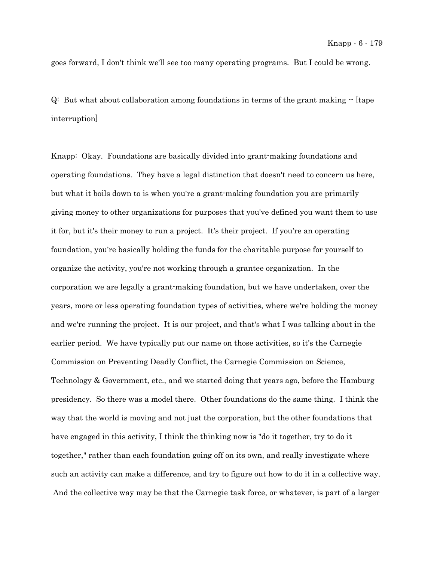goes forward, I don't think we'll see too many operating programs. But I could be wrong.

Q: But what about collaboration among foundations in terms of the grant making -- [tape interruption]

Knapp: Okay. Foundations are basically divided into grant-making foundations and operating foundations. They have a legal distinction that doesn't need to concern us here, but what it boils down to is when you're a grant-making foundation you are primarily giving money to other organizations for purposes that you've defined you want them to use it for, but it's their money to run a project. It's their project. If you're an operating foundation, you're basically holding the funds for the charitable purpose for yourself to organize the activity, you're not working through a grantee organization. In the corporation we are legally a grant-making foundation, but we have undertaken, over the years, more or less operating foundation types of activities, where we're holding the money and we're running the project. It is our project, and that's what I was talking about in the earlier period. We have typically put our name on those activities, so it's the Carnegie Commission on Preventing Deadly Conflict, the Carnegie Commission on Science, Technology & Government, etc., and we started doing that years ago, before the Hamburg presidency. So there was a model there. Other foundations do the same thing. I think the way that the world is moving and not just the corporation, but the other foundations that have engaged in this activity, I think the thinking now is "do it together, try to do it together," rather than each foundation going off on its own, and really investigate where such an activity can make a difference, and try to figure out how to do it in a collective way. And the collective way may be that the Carnegie task force, or whatever, is part of a larger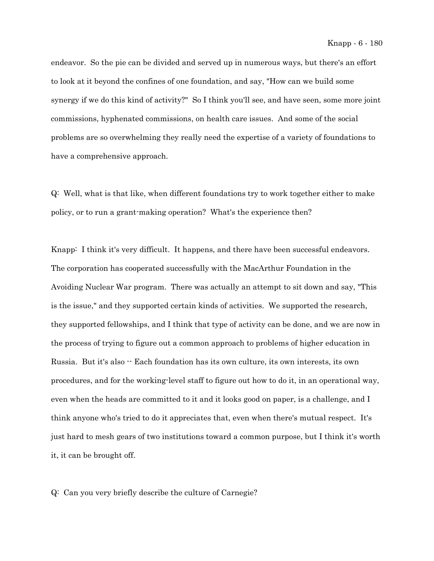endeavor. So the pie can be divided and served up in numerous ways, but there's an effort to look at it beyond the confines of one foundation, and say, "How can we build some synergy if we do this kind of activity?" So I think you'll see, and have seen, some more joint commissions, hyphenated commissions, on health care issues. And some of the social problems are so overwhelming they really need the expertise of a variety of foundations to have a comprehensive approach.

Q: Well, what is that like, when different foundations try to work together either to make policy, or to run a grant-making operation? What's the experience then?

Knapp: I think it's very difficult. It happens, and there have been successful endeavors. The corporation has cooperated successfully with the MacArthur Foundation in the Avoiding Nuclear War program. There was actually an attempt to sit down and say, "This is the issue," and they supported certain kinds of activities. We supported the research, they supported fellowships, and I think that type of activity can be done, and we are now in the process of trying to figure out a common approach to problems of higher education in Russia. But it's also -- Each foundation has its own culture, its own interests, its own procedures, and for the working-level staff to figure out how to do it, in an operational way, even when the heads are committed to it and it looks good on paper, is a challenge, and I think anyone who's tried to do it appreciates that, even when there's mutual respect. It's just hard to mesh gears of two institutions toward a common purpose, but I think it's worth it, it can be brought off.

Q: Can you very briefly describe the culture of Carnegie?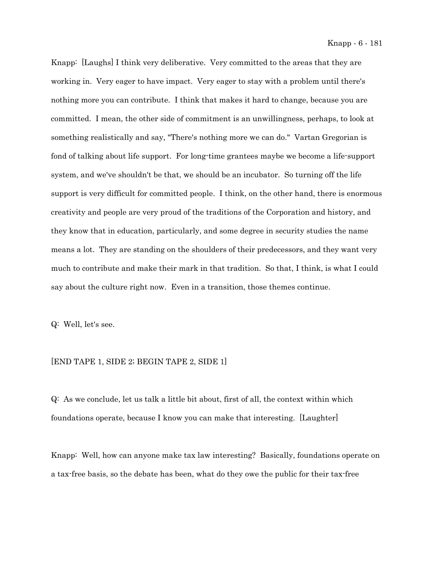Knapp: [Laughs] I think very deliberative. Very committed to the areas that they are working in. Very eager to have impact. Very eager to stay with a problem until there's nothing more you can contribute. I think that makes it hard to change, because you are committed. I mean, the other side of commitment is an unwillingness, perhaps, to look at something realistically and say, "There's nothing more we can do." Vartan Gregorian is fond of talking about life support. For long-time grantees maybe we become a life-support system, and we've shouldn't be that, we should be an incubator. So turning off the life support is very difficult for committed people. I think, on the other hand, there is enormous creativity and people are very proud of the traditions of the Corporation and history, and they know that in education, particularly, and some degree in security studies the name means a lot. They are standing on the shoulders of their predecessors, and they want very much to contribute and make their mark in that tradition. So that, I think, is what I could say about the culture right now. Even in a transition, those themes continue.

Q: Well, let's see.

## [END TAPE 1, SIDE 2; BEGIN TAPE 2, SIDE 1]

Q: As we conclude, let us talk a little bit about, first of all, the context within which foundations operate, because I know you can make that interesting. [Laughter]

Knapp: Well, how can anyone make tax law interesting? Basically, foundations operate on a tax-free basis, so the debate has been, what do they owe the public for their tax-free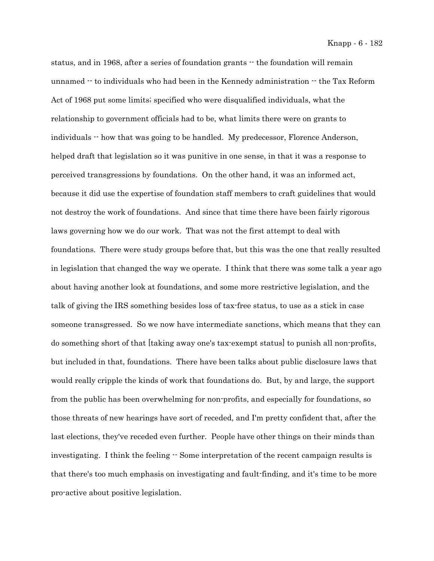status, and in 1968, after a series of foundation grants -- the foundation will remain unnamed  $-$  to individuals who had been in the Kennedy administration  $-$  the Tax Reform Act of 1968 put some limits; specified who were disqualified individuals, what the relationship to government officials had to be, what limits there were on grants to individuals -- how that was going to be handled. My predecessor, Florence Anderson, helped draft that legislation so it was punitive in one sense, in that it was a response to perceived transgressions by foundations. On the other hand, it was an informed act, because it did use the expertise of foundation staff members to craft guidelines that would not destroy the work of foundations. And since that time there have been fairly rigorous laws governing how we do our work. That was not the first attempt to deal with foundations. There were study groups before that, but this was the one that really resulted in legislation that changed the way we operate. I think that there was some talk a year ago about having another look at foundations, and some more restrictive legislation, and the talk of giving the IRS something besides loss of tax-free status, to use as a stick in case someone transgressed. So we now have intermediate sanctions, which means that they can do something short of that [taking away one's tax-exempt status] to punish all non-profits, but included in that, foundations. There have been talks about public disclosure laws that would really cripple the kinds of work that foundations do. But, by and large, the support from the public has been overwhelming for non-profits, and especially for foundations, so those threats of new hearings have sort of receded, and I'm pretty confident that, after the last elections, they've receded even further. People have other things on their minds than investigating. I think the feeling  $-$  Some interpretation of the recent campaign results is that there's too much emphasis on investigating and fault-finding, and it's time to be more pro-active about positive legislation.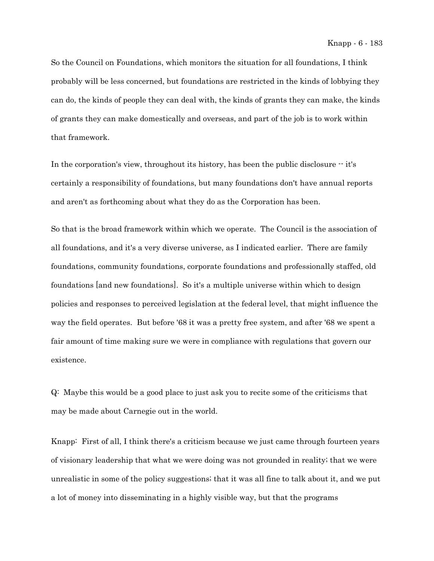So the Council on Foundations, which monitors the situation for all foundations, I think probably will be less concerned, but foundations are restricted in the kinds of lobbying they can do, the kinds of people they can deal with, the kinds of grants they can make, the kinds of grants they can make domestically and overseas, and part of the job is to work within that framework.

In the corporation's view, throughout its history, has been the public disclosure  $\cdot$  it's certainly a responsibility of foundations, but many foundations don't have annual reports and aren't as forthcoming about what they do as the Corporation has been.

So that is the broad framework within which we operate. The Council is the association of all foundations, and it's a very diverse universe, as I indicated earlier. There are family foundations, community foundations, corporate foundations and professionally staffed, old foundations [and new foundations]. So it's a multiple universe within which to design policies and responses to perceived legislation at the federal level, that might influence the way the field operates. But before '68 it was a pretty free system, and after '68 we spent a fair amount of time making sure we were in compliance with regulations that govern our existence.

Q: Maybe this would be a good place to just ask you to recite some of the criticisms that may be made about Carnegie out in the world.

Knapp: First of all, I think there's a criticism because we just came through fourteen years of visionary leadership that what we were doing was not grounded in reality; that we were unrealistic in some of the policy suggestions; that it was all fine to talk about it, and we put a lot of money into disseminating in a highly visible way, but that the programs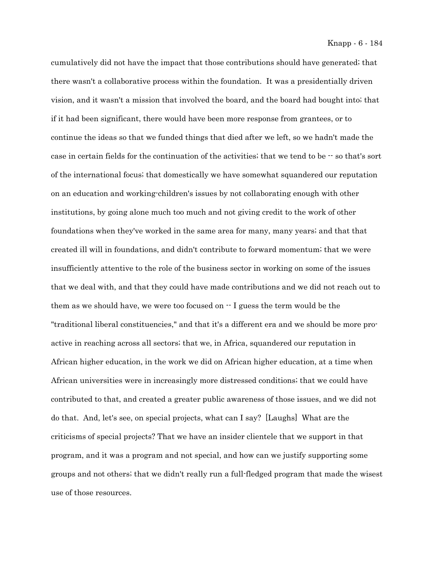cumulatively did not have the impact that those contributions should have generated; that there wasn't a collaborative process within the foundation. It was a presidentially driven vision, and it wasn't a mission that involved the board, and the board had bought into; that if it had been significant, there would have been more response from grantees, or to continue the ideas so that we funded things that died after we left, so we hadn't made the case in certain fields for the continuation of the activities; that we tend to be  $-$  so that's sort of the international focus; that domestically we have somewhat squandered our reputation on an education and working-children's issues by not collaborating enough with other institutions, by going alone much too much and not giving credit to the work of other foundations when they've worked in the same area for many, many years; and that that created ill will in foundations, and didn't contribute to forward momentum; that we were insufficiently attentive to the role of the business sector in working on some of the issues that we deal with, and that they could have made contributions and we did not reach out to them as we should have, we were too focused on  $-1$  guess the term would be the "traditional liberal constituencies," and that it's a different era and we should be more proactive in reaching across all sectors; that we, in Africa, squandered our reputation in African higher education, in the work we did on African higher education, at a time when African universities were in increasingly more distressed conditions; that we could have contributed to that, and created a greater public awareness of those issues, and we did not do that. And, let's see, on special projects, what can I say? [Laughs] What are the criticisms of special projects? That we have an insider clientele that we support in that program, and it was a program and not special, and how can we justify supporting some groups and not others; that we didn't really run a full-fledged program that made the wisest use of those resources.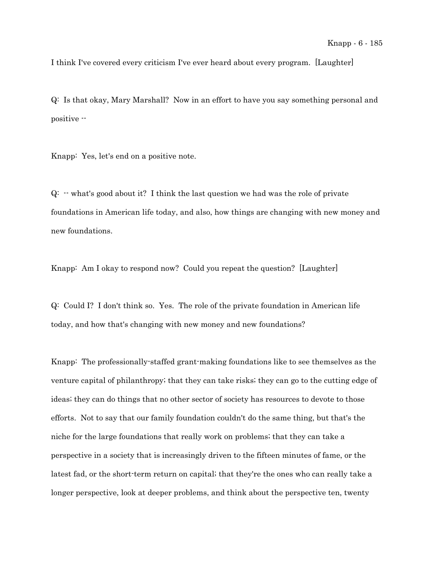I think I've covered every criticism I've ever heard about every program. [Laughter]

Q: Is that okay, Mary Marshall? Now in an effort to have you say something personal and positive --

Knapp: Yes, let's end on a positive note.

 $Q:$   $\cdot$  what's good about it? I think the last question we had was the role of private foundations in American life today, and also, how things are changing with new money and new foundations.

Knapp: Am I okay to respond now? Could you repeat the question? [Laughter]

Q: Could I? I don't think so. Yes. The role of the private foundation in American life today, and how that's changing with new money and new foundations?

Knapp: The professionally-staffed grant-making foundations like to see themselves as the venture capital of philanthropy; that they can take risks; they can go to the cutting edge of ideas; they can do things that no other sector of society has resources to devote to those efforts. Not to say that our family foundation couldn't do the same thing, but that's the niche for the large foundations that really work on problems; that they can take a perspective in a society that is increasingly driven to the fifteen minutes of fame, or the latest fad, or the short-term return on capital; that they're the ones who can really take a longer perspective, look at deeper problems, and think about the perspective ten, twenty